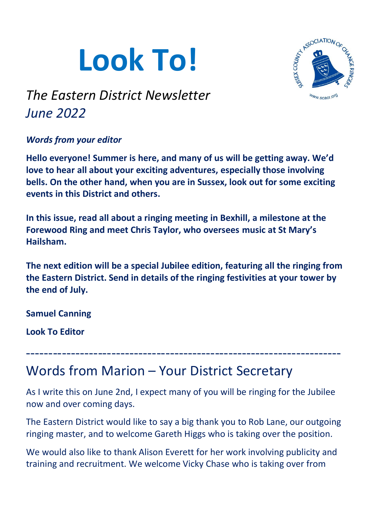# **Look To!**



# *The Eastern District Newsletter June 2022*

### *Words from your editor*

**Hello everyone! Summer is here, and many of us will be getting away. We'd love to hear all about your exciting adventures, especially those involving bells. On the other hand, when you are in Sussex, look out for some exciting events in this District and others.**

**In this issue, read all about a ringing meeting in Bexhill, a milestone at the Forewood Ring and meet Chris Taylor, who oversees music at St Mary's Hailsham.**

**The next edition will be a special Jubilee edition, featuring all the ringing from the Eastern District. Send in details of the ringing festivities at your tower by the end of July.**

**Samuel Canning**

**Look To Editor**

# Words from Marion – Your District Secretary

As I write this on June 2nd, I expect many of you will be ringing for the Jubilee now and over coming days.

----------------------------------------------------------------------

The Eastern District would like to say a big thank you to Rob Lane, our outgoing ringing master, and to welcome Gareth Higgs who is taking over the position.

We would also like to thank Alison Everett for her work involving publicity and training and recruitment. We welcome Vicky Chase who is taking over from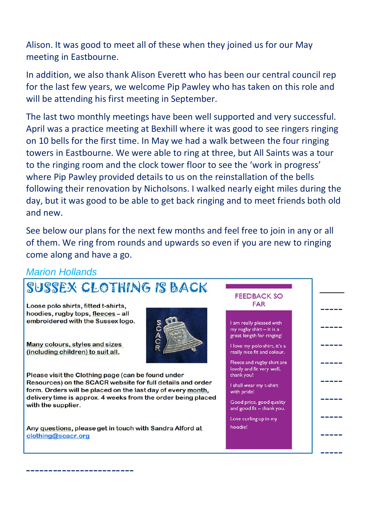Alison. It was good to meet all of these when they joined us for our May meeting in Eastbourne.

In addition, we also thank Alison Everett who has been our central council rep for the last few years, we welcome Pip Pawley who has taken on this role and will be attending his first meeting in September.

The last two monthly meetings have been well supported and very successful. April was a practice meeting at Bexhill where it was good to see ringers ringing on 10 bells for the first time. In May we had a walk between the four ringing towers in Eastbourne. We were able to ring at three, but All Saints was a tour to the ringing room and the clock tower floor to see the 'work in progress' where Pip Pawley provided details to us on the reinstallation of the bells following their renovation by Nicholsons. I walked nearly eight miles during the day, but it was good to be able to get back ringing and to meet friends both old and new.

See below our plans for the next few months and feel free to join in any or all of them. We ring from rounds and upwards so even if you are new to ringing come along and have a go.

#### *Marion Hollands*

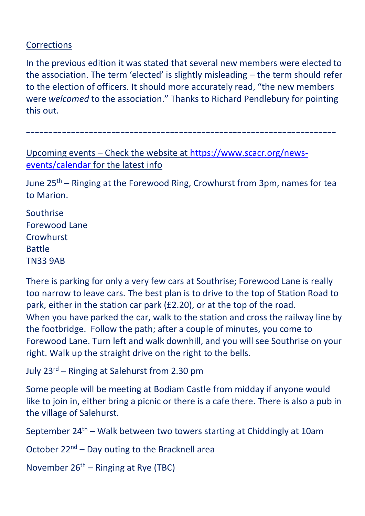#### **Corrections**

In the previous edition it was stated that several new members were elected to the association. The term 'elected' is slightly misleading – the term should refer to the election of officers. It should more accurately read, "the new members were *welcomed* to the association." Thanks to Richard Pendlebury for pointing this out.

Upcoming events – Check the website at [https://www.scacr.org/news](https://www.scacr.org/news-events/calendar)[events/calendar](https://www.scacr.org/news-events/calendar) for the latest info

June 25<sup>th</sup> – Ringing at the Forewood Ring, Crowhurst from 3pm, names for tea to Marion.

---------------------------------------------------------------------

Southrise Forewood Lane **Crowhurst** Battle TN33 9AB

There is parking for only a very few cars at Southrise; Forewood Lane is really too narrow to leave cars. The best plan is to drive to the top of Station Road to park, either in the station car park (£2.20), or at the top of the road. When you have parked the car, walk to the station and cross the railway line by the footbridge. Follow the path; after a couple of minutes, you come to Forewood Lane. Turn left and walk downhill, and you will see Southrise on your right. Walk up the straight drive on the right to the bells.

July 23rd – Ringing at Salehurst from 2.30 pm

Some people will be meeting at Bodiam Castle from midday if anyone would like to join in, either bring a picnic or there is a cafe there. There is also a pub in the village of Salehurst.

September  $24<sup>th</sup>$  – Walk between two towers starting at Chiddingly at 10am

October  $22^{nd}$  – Day outing to the Bracknell area

November  $26<sup>th</sup>$  – Ringing at Rye (TBC)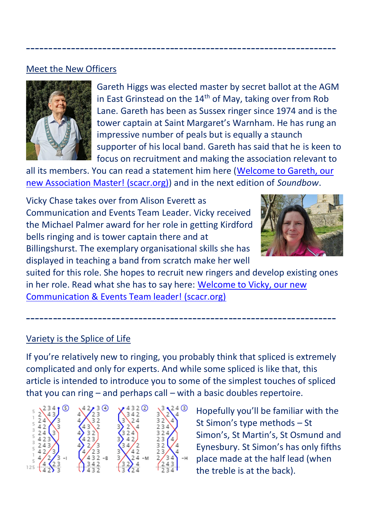#### Meet the New Officers



Gareth Higgs was elected master by secret ballot at the AGM in East Grinstead on the  $14<sup>th</sup>$  of May, taking over from Rob Lane. Gareth has been as Sussex ringer since 1974 and is the tower captain at Saint Margaret's Warnham. He has rung an impressive number of peals but is equally a staunch supporter of his local band. Gareth has said that he is keen to focus on recruitment and making the association relevant to

all its members. You can read a statement him here [\(Welcome to Gareth, our](https://www.scacr.org/news-events/noticeboard/500-welcome-to-gareth-our-new-association-master)  [new Association Master! \(scacr.org\)\)](https://www.scacr.org/news-events/noticeboard/500-welcome-to-gareth-our-new-association-master) and in the next edition of *Soundbow*.

---------------------------------------------------------------------

Vicky Chase takes over from Alison Everett as Communication and Events Team Leader. Vicky received the Michael Palmer award for her role in getting Kirdford bells ringing and is tower captain there and at Billingshurst. The exemplary organisational skills she has

displayed in teaching a band from scratch make her well



suited for this role. She hopes to recruit new ringers and develop existing ones in her role. Read what she has to say here: [Welcome to Vicky, our new](https://www.scacr.org/news-events/noticeboard/499-welcome-to-vicky-our-new-communication-events-team-leader)  [Communication & Events Team leader! \(scacr.org\)](https://www.scacr.org/news-events/noticeboard/499-welcome-to-vicky-our-new-communication-events-team-leader)

---------------------------------------------------------------------

#### Variety is the Splice of Life

If you're relatively new to ringing, you probably think that spliced is extremely complicated and only for experts. And while some spliced is like that, this article is intended to introduce you to some of the simplest touches of spliced that you can ring – and perhaps call – with a basic doubles repertoire.



Hopefully you'll be familiar with the St Simon's type methods – St Simon's, St Martin's, St Osmund and Eynesbury. St Simon's has only fifths place made at the half lead (when the treble is at the back).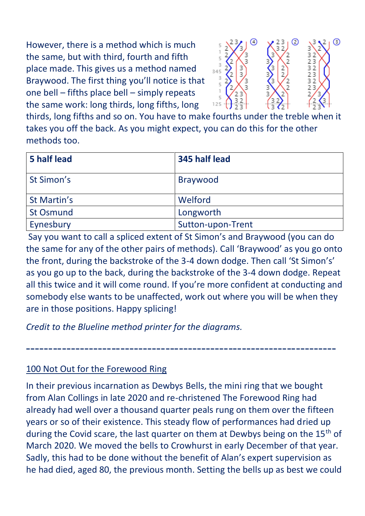However, there is a method which is much the same, but with third, fourth and fifth place made. This gives us a method named Braywood. The first thing you'll notice is that one bell – fifths place bell – simply repeats the same work: long thirds, long fifths, long



thirds, long fifths and so on. You have to make fourths under the treble when it takes you off the back. As you might expect, you can do this for the other methods too.

| 5 half lead      | 345 half lead     |
|------------------|-------------------|
| St Simon's       | <b>Braywood</b>   |
| St Martin's      | Welford           |
| <b>St Osmund</b> | Longworth         |
| Eynesbury        | Sutton-upon-Trent |

Say you want to call a spliced extent of St Simon's and Braywood (you can do the same for any of the other pairs of methods). Call 'Braywood' as you go onto the front, during the backstroke of the 3-4 down dodge. Then call 'St Simon's' as you go up to the back, during the backstroke of the 3-4 down dodge. Repeat all this twice and it will come round. If you're more confident at conducting and somebody else wants to be unaffected, work out where you will be when they are in those positions. Happy splicing!

---------------------------------------------------------------------

*Credit to the Blueline method printer for the diagrams.*

100 Not Out for the Forewood Ring

In their previous incarnation as Dewbys Bells, the mini ring that we bought from Alan Collings in late 2020 and re-christened The Forewood Ring had already had well over a thousand quarter peals rung on them over the fifteen years or so of their existence. This steady flow of performances had dried up during the Covid scare, the last quarter on them at Dewbys being on the 15<sup>th</sup> of March 2020. We moved the bells to Crowhurst in early December of that year. Sadly, this had to be done without the benefit of Alan's expert supervision as he had died, aged 80, the previous month. Setting the bells up as best we could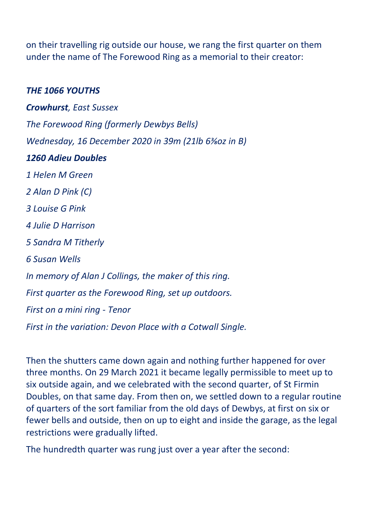on their travelling rig outside our house, we rang the first quarter on them under the name of The Forewood Ring as a memorial to their creator:

#### *THE 1066 YOUTHS*

*Crowhurst, East Sussex The Forewood Ring (formerly Dewbys Bells) Wednesday, 16 December 2020 in 39m (21lb 6⅜oz in B) 1260 Adieu Doubles 1 Helen M Green 2 Alan D Pink (C) 3 Louise G Pink 4 Julie D Harrison 5 Sandra M Titherly 6 Susan Wells In memory of Alan J Collings, the maker of this ring. First quarter as the Forewood Ring, set up outdoors. First on a mini ring - Tenor First in the variation: Devon Place with a Cotwall Single.*

Then the shutters came down again and nothing further happened for over three months. On 29 March 2021 it became legally permissible to meet up to six outside again, and we celebrated with the second quarter, of St Firmin Doubles, on that same day. From then on, we settled down to a regular routine of quarters of the sort familiar from the old days of Dewbys, at first on six or fewer bells and outside, then on up to eight and inside the garage, as the legal restrictions were gradually lifted.

The hundredth quarter was rung just over a year after the second: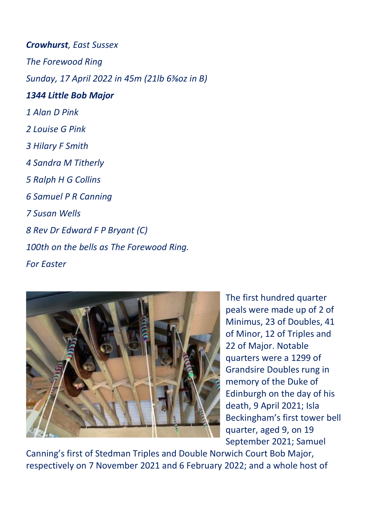*Crowhurst, East Sussex The Forewood Ring Sunday, 17 April 2022 in 45m (21lb 6⅜oz in B) 1344 Little Bob Major 1 Alan D Pink 2 Louise G Pink 3 Hilary F Smith 4 Sandra M Titherly 5 Ralph H G Collins 6 Samuel P R Canning 7 Susan Wells 8 Rev Dr Edward F P Bryant (C) 100th on the bells as The Forewood Ring. For Easter*



The first hundred quarter peals were made up of 2 of Minimus, 23 of Doubles, 41 of Minor, 12 of Triples and 22 of Major. Notable quarters were a 1299 of Grandsire Doubles rung in memory of the Duke of Edinburgh on the day of his death, 9 April 2021; Isla Beckingham's first tower bell quarter, aged 9, on 19 September 2021; Samuel

Canning's first of Stedman Triples and Double Norwich Court Bob Major, respectively on 7 November 2021 and 6 February 2022; and a whole host of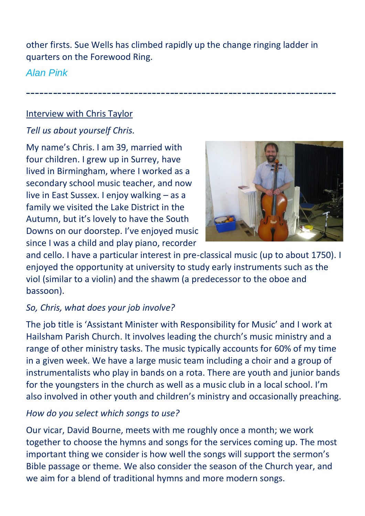other firsts. Sue Wells has climbed rapidly up the change ringing ladder in quarters on the Forewood Ring.

---------------------------------------------------------------------

# *Alan Pink*

#### Interview with Chris Taylor

# *Tell us about yourself Chris.*

My name's Chris. I am 39, married with four children. I grew up in Surrey, have lived in Birmingham, where I worked as a secondary school music teacher, and now live in East Sussex. I enjoy walking – as a family we visited the Lake District in the Autumn, but it's lovely to have the South Downs on our doorstep. I've enjoyed music since I was a child and play piano, recorder



and cello. I have a particular interest in pre-classical music (up to about 1750). I enjoyed the opportunity at university to study early instruments such as the viol (similar to a violin) and the shawm (a predecessor to the oboe and bassoon).

# *So, Chris, what does your job involve?*

The job title is 'Assistant Minister with Responsibility for Music' and I work at Hailsham Parish Church. It involves leading the church's music ministry and a range of other ministry tasks. The music typically accounts for 60% of my time in a given week. We have a large music team including a choir and a group of instrumentalists who play in bands on a rota. There are youth and junior bands for the youngsters in the church as well as a music club in a local school. I'm also involved in other youth and children's ministry and occasionally preaching.

# *How do you select which songs to use?*

Our vicar, David Bourne, meets with me roughly once a month; we work together to choose the hymns and songs for the services coming up. The most important thing we consider is how well the songs will support the sermon's Bible passage or theme. We also consider the season of the Church year, and we aim for a blend of traditional hymns and more modern songs.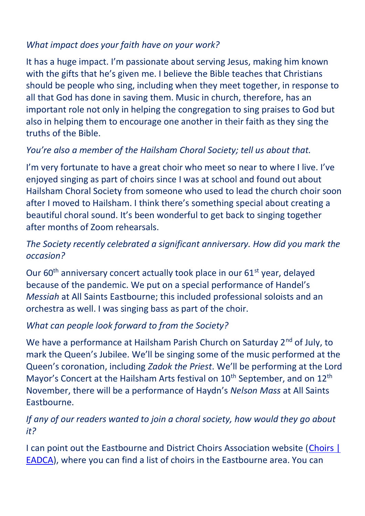#### *What impact does your faith have on your work?*

It has a huge impact. I'm passionate about serving Jesus, making him known with the gifts that he's given me. I believe the Bible teaches that Christians should be people who sing, including when they meet together, in response to all that God has done in saving them. Music in church, therefore, has an important role not only in helping the congregation to sing praises to God but also in helping them to encourage one another in their faith as they sing the truths of the Bible.

### *You're also a member of the Hailsham Choral Society; tell us about that.*

I'm very fortunate to have a great choir who meet so near to where I live. I've enjoyed singing as part of choirs since I was at school and found out about Hailsham Choral Society from someone who used to lead the church choir soon after I moved to Hailsham. I think there's something special about creating a beautiful choral sound. It's been wonderful to get back to singing together after months of Zoom rehearsals.

### *The Society recently celebrated a significant anniversary. How did you mark the occasion?*

Our 60<sup>th</sup> anniversary concert actually took place in our 61<sup>st</sup> year, delayed because of the pandemic. We put on a special performance of Handel's *Messiah* at All Saints Eastbourne; this included professional soloists and an orchestra as well. I was singing bass as part of the choir.

# *What can people look forward to from the Society?*

We have a performance at Hailsham Parish Church on Saturday 2<sup>nd</sup> of July, to mark the Queen's Jubilee. We'll be singing some of the music performed at the Queen's coronation, including *Zadok the Priest*. We'll be performing at the Lord Mayor's Concert at the Hailsham Arts festival on  $10<sup>th</sup>$  September, and on  $12<sup>th</sup>$ November, there will be a performance of Haydn's *Nelson Mass* at All Saints Eastbourne.

#### *If any of our readers wanted to join a choral society, how would they go about it?*

I can point out the Eastbourne and District Choirs Association website [\(Choirs |](https://www.eadca.uk/choirs)  [EADCA\)](https://www.eadca.uk/choirs), where you can find a list of choirs in the Eastbourne area. You can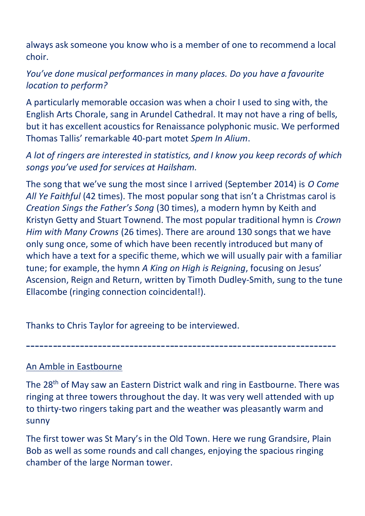always ask someone you know who is a member of one to recommend a local choir.

## *You've done musical performances in many places. Do you have a favourite location to perform?*

A particularly memorable occasion was when a choir I used to sing with, the English Arts Chorale, sang in Arundel Cathedral. It may not have a ring of bells, but it has excellent acoustics for Renaissance polyphonic music. We performed Thomas Tallis' remarkable 40-part motet *Spem In Alium*.

*A lot of ringers are interested in statistics, and I know you keep records of which songs you've used for services at Hailsham.*

The song that we've sung the most since I arrived (September 2014) is *O Come All Ye Faithful* (42 times). The most popular song that isn't a Christmas carol is *Creation Sings the Father's Song* (30 times), a modern hymn by Keith and Kristyn Getty and Stuart Townend. The most popular traditional hymn is *Crown Him with Many Crowns* (26 times). There are around 130 songs that we have only sung once, some of which have been recently introduced but many of which have a text for a specific theme, which we will usually pair with a familiar tune; for example, the hymn *A King on High is Reigning*, focusing on Jesus' Ascension, Reign and Return, written by Timoth Dudley-Smith, sung to the tune Ellacombe (ringing connection coincidental!).

Thanks to Chris Taylor for agreeing to be interviewed.

An Amble in Eastbourne

The 28<sup>th</sup> of May saw an Eastern District walk and ring in Eastbourne. There was ringing at three towers throughout the day. It was very well attended with up to thirty-two ringers taking part and the weather was pleasantly warm and sunny

---------------------------------------------------------------------

The first tower was St Mary's in the Old Town. Here we rung Grandsire, Plain Bob as well as some rounds and call changes, enjoying the spacious ringing chamber of the large Norman tower.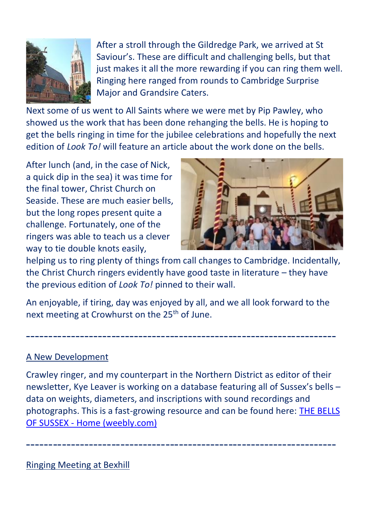

After a stroll through the Gildredge Park, we arrived at St Saviour's. These are difficult and challenging bells, but that just makes it all the more rewarding if you can ring them well. Ringing here ranged from rounds to Cambridge Surprise Major and Grandsire Caters.

Next some of us went to All Saints where we were met by Pip Pawley, who showed us the work that has been done rehanging the bells. He is hoping to get the bells ringing in time for the jubilee celebrations and hopefully the next edition of *Look To!* will feature an article about the work done on the bells.

After lunch (and, in the case of Nick, a quick dip in the sea) it was time for the final tower, Christ Church on Seaside. These are much easier bells, but the long ropes present quite a challenge. Fortunately, one of the ringers was able to teach us a clever way to tie double knots easily,



helping us to ring plenty of things from call changes to Cambridge. Incidentally, the Christ Church ringers evidently have good taste in literature – they have the previous edition of *Look To!* pinned to their wall.

An enjoyable, if tiring, day was enjoyed by all, and we all look forward to the next meeting at Crowhurst on the 25<sup>th</sup> of June.

---------------------------------------------------------------------

#### A New Development

Crawley ringer, and my counterpart in the Northern District as editor of their newsletter, Kye Leaver is working on a database featuring all of Sussex's bells – data on weights, diameters, and inscriptions with sound recordings and photographs. This is a fast-growing resource and can be found here: [THE BELLS](https://thebellsofsussex.weebly.com/)  OF SUSSEX - [Home \(weebly.com\)](https://thebellsofsussex.weebly.com/)

---------------------------------------------------------------------

Ringing Meeting at Bexhill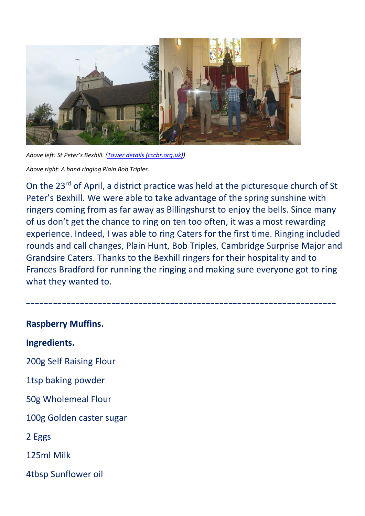

*Above left: St Peter's Bexhill. ([Tower details \(cccbr.org.uk\)\)](https://dove.cccbr.org.uk/detail.php?tower=12863)*

*Above right: A band ringing Plain Bob Triples.*

On the 23rd of April, a district practice was held at the picturesque church of St Peter's Bexhill. We were able to take advantage of the spring sunshine with ringers coming from as far away as Billingshurst to enjoy the bells. Since many of us don't get the chance to ring on ten too often, it was a most rewarding experience. Indeed, I was able to ring Caters for the first time. Ringing included rounds and call changes, Plain Hunt, Bob Triples, Cambridge Surprise Major and Grandsire Caters. Thanks to the Bexhill ringers for their hospitality and to Frances Bradford for running the ringing and making sure everyone got to ring what they wanted to.

---------------------------------------------------------------------

**Raspberry Muffins. Ingredients.**  200g Self Raising Flour 1tsp baking powder 50g Wholemeal Flour 100g Golden caster sugar 2 Eggs 125ml Milk 4tbsp Sunflower oil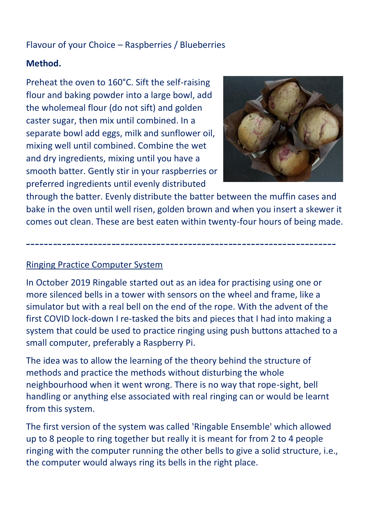## Flavour of your Choice – Raspberries / Blueberries

#### **Method.**

Preheat the oven to 160°C. Sift the self-raising flour and baking powder into a large bowl, add the wholemeal flour (do not sift) and golden caster sugar, then mix until combined. In a separate bowl add eggs, milk and sunflower oil, mixing well until combined. Combine the wet and dry ingredients, mixing until you have a smooth batter. Gently stir in your raspberries or preferred ingredients until evenly distributed



through the batter. Evenly distribute the batter between the muffin cases and bake in the oven until well risen, golden brown and when you insert a skewer it comes out clean. These are best eaten within twenty-four hours of being made.

---------------------------------------------------------------------

#### Ringing Practice Computer System

In October 2019 Ringable started out as an idea for practising using one or more silenced bells in a tower with sensors on the wheel and frame, like a simulator but with a real bell on the end of the rope. With the advent of the first COVID lock-down I re-tasked the bits and pieces that I had into making a system that could be used to practice ringing using push buttons attached to a small computer, preferably a Raspberry Pi.

The idea was to allow the learning of the theory behind the structure of methods and practice the methods without disturbing the whole neighbourhood when it went wrong. There is no way that rope-sight, bell handling or anything else associated with real ringing can or would be learnt from this system.

The first version of the system was called 'Ringable Ensemble' which allowed up to 8 people to ring together but really it is meant for from 2 to 4 people ringing with the computer running the other bells to give a solid structure, i.e., the computer would always ring its bells in the right place.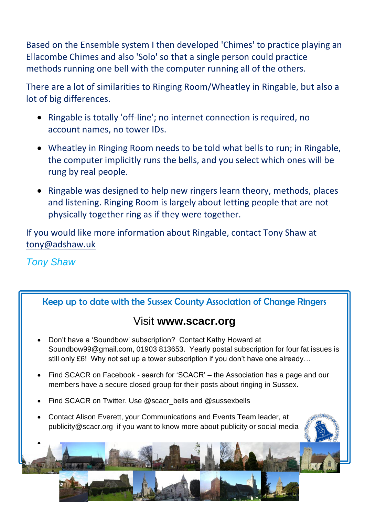Based on the Ensemble system I then developed 'Chimes' to practice playing an Ellacombe Chimes and also 'Solo' so that a single person could practice methods running one bell with the computer running all of the others.

There are a lot of similarities to Ringing Room/Wheatley in Ringable, but also a lot of big differences.

- Ringable is totally 'off-line'; no internet connection is required, no account names, no tower IDs.
- Wheatley in Ringing Room needs to be told what bells to run; in Ringable, the computer implicitly runs the bells, and you select which ones will be rung by real people.
- Ringable was designed to help new ringers learn theory, methods, places and listening. Ringing Room is largely about letting people that are not physically together ring as if they were together.

If you would like more information about Ringable, contact Tony Shaw at [tony@adshaw.uk](mailto:tony@adshaw.uk)

# *Tony Shaw*